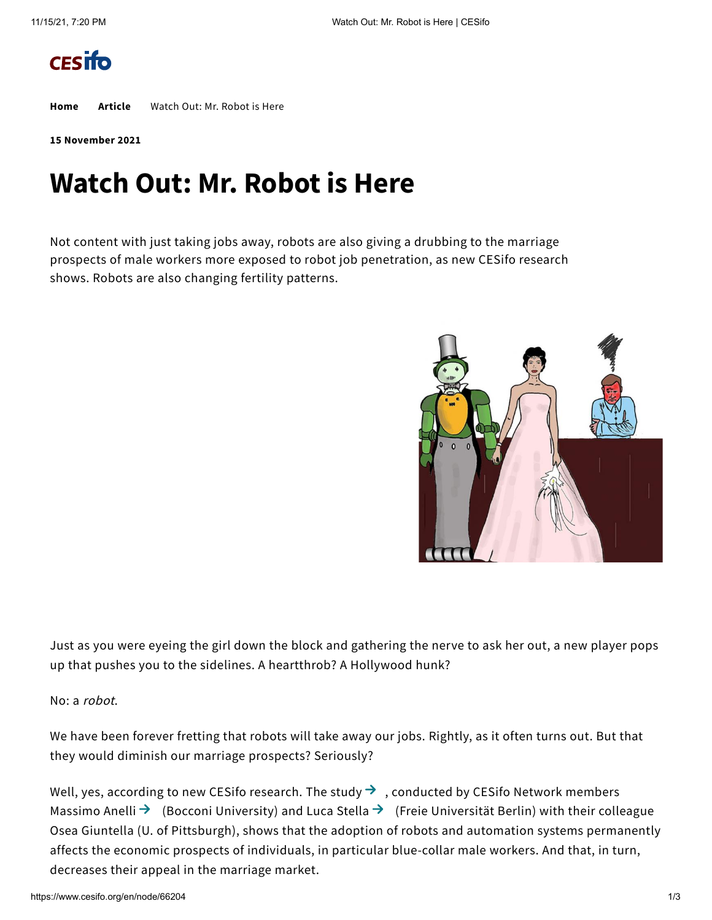

**[Home](https://www.cesifo.org/en) Article** [Watch](https://www.cesifo.org/en/node/66204) Out: Mr. Robot is Here

**15 November 2021**

## **Watch Out: Mr. Robot is Here**

Not content with just taking jobs away, robots are also giving a drubbing to the marriage prospects of male workers more exposed to robot job penetration, as new CESifo research shows. Robots are also changing fertility patterns.



Just as you were eyeing the girl down the block and gathering the nerve to ask her out, a new player pops up that pushes you to the sidelines. A heartthrob? A Hollywood hunk?

No: a robot.

We have been forever fretting that robots will take away our jobs. Rightly, as it often turns out. But that they would diminish our marriage prospects? Seriously?

Well, yes, according to new CESifo research. The [study](https://www.cesifo.org/en/publikationen/2021/working-paper/robots-marriageable-men-family-and-fertility)  $\rightarrow$ , conducted by CESifo Network members [Massimo](https://www.cesifo.org/node/35055) Anelli  $\rightarrow$  (Bocconi University) and Luca [Stella](https://www.cesifo.org/node/61556)  $\rightarrow$  (Freie Universität Berlin) with their colleague Osea Giuntella (U. of Pittsburgh), shows that the adoption of robots and automation systems permanently affects the economic prospects of individuals, in particular blue-collar male workers. And that, in turn, decreases their appeal in the marriage market.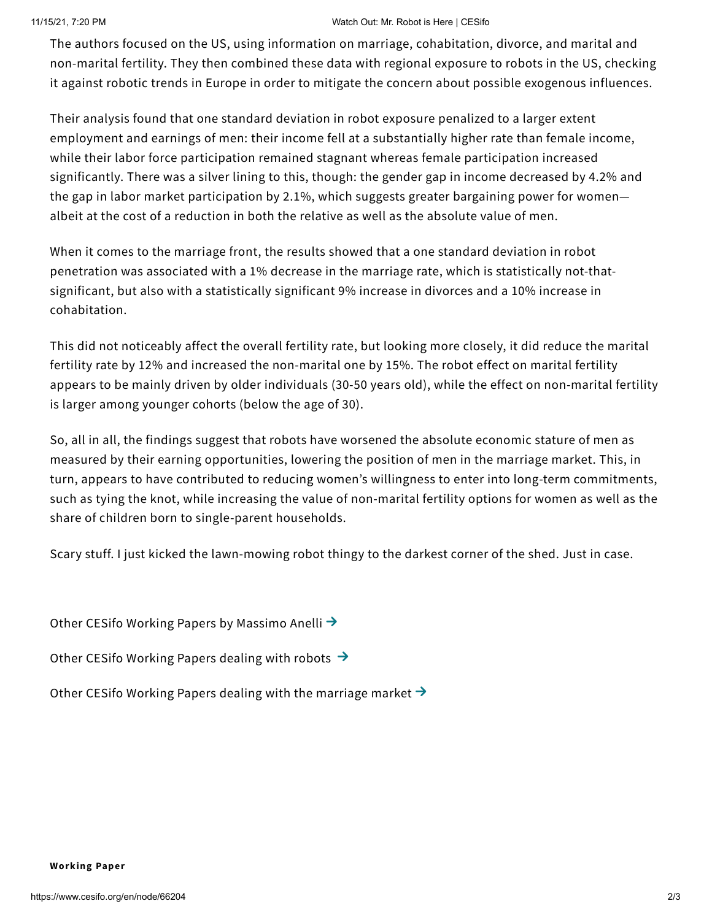## 11/15/21, 7:20 PM Watch Out: Mr. Robot is Here | CESifo

The authors focused on the US, using information on marriage, cohabitation, divorce, and marital and non-marital fertility. They then combined these data with regional exposure to robots in the US, checking it against robotic trends in Europe in order to mitigate the concern about possible exogenous influences.

Their analysis found that one standard deviation in robot exposure penalized to a larger extent employment and earnings of men: their income fell at a substantially higher rate than female income, while their labor force participation remained stagnant whereas female participation increased significantly. There was a silver lining to this, though: the gender gap in income decreased by 4.2% and the gap in labor market participation by 2.1%, which suggests greater bargaining power for women albeit at the cost of a reduction in both the relative as well as the absolute value of men.

When it comes to the marriage front, the results showed that a one standard deviation in robot penetration was associated with a 1% decrease in the marriage rate, which is statistically not-thatsignificant, but also with a statistically significant 9% increase in divorces and a 10% increase in cohabitation.

This did not noticeably affect the overall fertility rate, but looking more closely, it did reduce the marital fertility rate by 12% and increased the non-marital one by 15%. The robot effect on marital fertility appears to be mainly driven by older individuals (30-50 years old), while the effect on non-marital fertility is larger among younger cohorts (below the age of 30).

So, all in all, the findings suggest that robots have worsened the absolute economic stature of men as measured by their earning opportunities, lowering the position of men in the marriage market. This, in turn, appears to have contributed to reducing women's willingness to enter into long-term commitments, such as tying the knot, while increasing the value of non-marital fertility options for women as well as the share of children born to single-parent households.

Scary stuff. I just kicked the lawn-mowing robot thingy to the darkest corner of the shed. Just in case.

Other CESifo Working Papers by [Massimo](https://www.cesifo.org/en/suche?wp=1&search_api_fulltext=&sort_by=maxdate_agr&f%5B0%5D=autor%3A35055&f%5B1%5D=inhaltstyp%3Averoeffentlichung) Anelli  $\rightarrow$ 

Other CESifo [Working](https://www.cesifo.org/en/wp?search_api_fulltext=robots&sort_by=maxdate_agr) Papers dealing with robots  $\rightarrow$ 

Other CESifo Working Papers dealing with the [marriage](https://www.cesifo.org/en/wp?search_api_fulltext=marriage+market&sort_by=maxdate_agr) market  $\rightarrow$